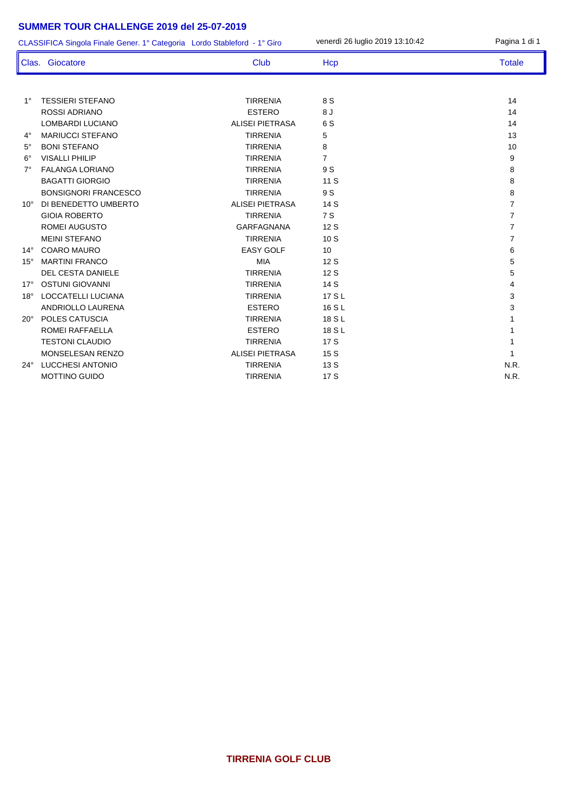#### **SUMMER TOUR CHALLENGE 2019 del 25-07-2019**

CLASSIFICA Singola Finale Gener. 1° Categoria Lordo Stableford - 1° Giro venerdì 26 luglio 2019 13:10:42 Pagina 1 di 1

|              | Clas. Giocatore             | <b>Club</b>            | Hcp            | <b>Totale</b>  |
|--------------|-----------------------------|------------------------|----------------|----------------|
|              |                             |                        |                |                |
| $1^{\circ}$  | <b>TESSIERI STEFANO</b>     | <b>TIRRENIA</b>        | 8 S            | 14             |
|              | <b>ROSSI ADRIANO</b>        | <b>ESTERO</b>          | 8 J            | 14             |
|              | LOMBARDI LUCIANO            | <b>ALISEI PIETRASA</b> | 6 S            | 14             |
| $4^\circ$    | <b>MARIUCCI STEFANO</b>     | <b>TIRRENIA</b>        | 5              | 13             |
| $5^\circ$    | <b>BONI STEFANO</b>         | <b>TIRRENIA</b>        | 8              | 10             |
| $6^{\circ}$  | <b>VISALLI PHILIP</b>       | <b>TIRRENIA</b>        | $\overline{7}$ | 9              |
| $7^\circ$    | <b>FALANGA LORIANO</b>      | <b>TIRRENIA</b>        | 9 S            | 8              |
|              | <b>BAGATTI GIORGIO</b>      | <b>TIRRENIA</b>        | 11 S           | 8              |
|              | <b>BONSIGNORI FRANCESCO</b> | <b>TIRRENIA</b>        | 9 S            | 8              |
| $10^{\circ}$ | DI BENEDETTO UMBERTO        | <b>ALISEI PIETRASA</b> | 14S            | $\overline{7}$ |
|              | <b>GIOIA ROBERTO</b>        | <b>TIRRENIA</b>        | 7 S            | $\overline{7}$ |
|              | <b>ROMEI AUGUSTO</b>        | <b>GARFAGNANA</b>      | 12S            | $\overline{7}$ |
|              | <b>MEINI STEFANO</b>        | <b>TIRRENIA</b>        | 10S            | 7              |
| $14^{\circ}$ | <b>COARO MAURO</b>          | <b>EASY GOLF</b>       | 10             | 6              |
| $15^\circ$   | <b>MARTINI FRANCO</b>       | <b>MIA</b>             | 12S            | 5              |
|              | <b>DEL CESTA DANIELE</b>    | <b>TIRRENIA</b>        | 12S            | 5              |
| $17^\circ$   | <b>OSTUNI GIOVANNI</b>      | <b>TIRRENIA</b>        | 14S            | 4              |
| $18^\circ$   | <b>LOCCATELLI LUCIANA</b>   | <b>TIRRENIA</b>        | 17 S L         | 3              |
|              | <b>ANDRIOLLO LAURENA</b>    | <b>ESTERO</b>          | 16 S L         | 3              |
| $20^\circ$   | <b>POLES CATUSCIA</b>       | <b>TIRRENIA</b>        | 18 S L         |                |
|              | <b>ROMEI RAFFAELLA</b>      | <b>ESTERO</b>          | 18 S L         |                |
|              | <b>TESTONI CLAUDIO</b>      | <b>TIRRENIA</b>        | 17S            |                |
|              | MONSELESAN RENZO            | <b>ALISEI PIETRASA</b> | 15S            |                |
| $24^\circ$   | <b>LUCCHESI ANTONIO</b>     | <b>TIRRENIA</b>        | 13S            | N.R.           |
|              | <b>MOTTINO GUIDO</b>        | <b>TIRRENIA</b>        | 17S            | N.R.           |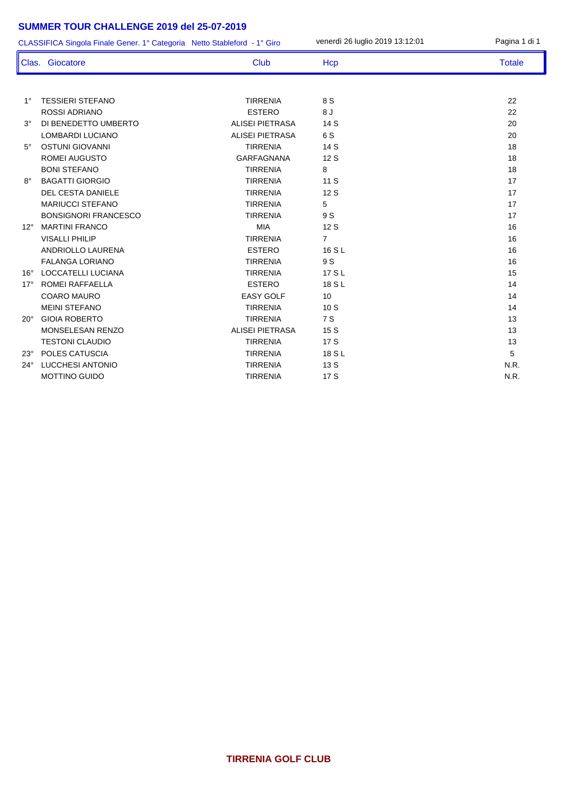### **SUMMER TOUR CHALLENGE 2019 del 25-07-2019**

|              | CLASSIFICA Singola Finale Gener. 1° Categoria Netto Stableford - 1° Giro |                        | venerdì 26 luglio 2019 13:12:01 | Pagina 1 di 1 |
|--------------|--------------------------------------------------------------------------|------------------------|---------------------------------|---------------|
|              | Clas. Giocatore                                                          | <b>Club</b>            | <b>Hcp</b>                      | <b>Totale</b> |
|              |                                                                          |                        |                                 |               |
| $1^{\circ}$  | <b>TESSIERI STEFANO</b>                                                  | <b>TIRRENIA</b>        | 8 S                             | 22            |
|              | <b>ROSSI ADRIANO</b>                                                     | <b>ESTERO</b>          | 8J                              | 22            |
| $3^\circ$    | DI BENEDETTO UMBERTO                                                     | <b>ALISEI PIETRASA</b> | 14 S                            | 20            |
|              | LOMBARDI LUCIANO                                                         | <b>ALISEI PIETRASA</b> | 6 S                             | 20            |
| $5^\circ$    | <b>OSTUNI GIOVANNI</b>                                                   | <b>TIRRENIA</b>        | 14 S                            | 18            |
|              | ROMEI AUGUSTO                                                            | <b>GARFAGNANA</b>      | 12 S                            | 18            |
|              | <b>BONI STEFANO</b>                                                      | <b>TIRRENIA</b>        | 8                               | 18            |
| $8^{\circ}$  | <b>BAGATTI GIORGIO</b>                                                   | <b>TIRRENIA</b>        | 11 S                            | 17            |
|              | <b>DEL CESTA DANIELE</b>                                                 | <b>TIRRENIA</b>        | 12S                             | 17            |
|              | <b>MARIUCCI STEFANO</b>                                                  | <b>TIRRENIA</b>        | 5                               | 17            |
|              | <b>BONSIGNORI FRANCESCO</b>                                              | <b>TIRRENIA</b>        | 9 S                             | 17            |
| $12^{\circ}$ | <b>MARTINI FRANCO</b>                                                    | <b>MIA</b>             | 12S                             | 16            |
|              | <b>VISALLI PHILIP</b>                                                    | <b>TIRRENIA</b>        | 7                               | 16            |
|              | <b>ANDRIOLLO LAURENA</b>                                                 | <b>ESTERO</b>          | 16 S L                          | 16            |
|              | <b>FALANGA LORIANO</b>                                                   | <b>TIRRENIA</b>        | 9 S                             | 16            |
| $16^{\circ}$ | <b>LOCCATELLI LUCIANA</b>                                                | <b>TIRRENIA</b>        | 17 S L                          | 15            |
| $17^\circ$   | <b>ROMEI RAFFAELLA</b>                                                   | <b>ESTERO</b>          | 18 S L                          | 14            |
|              | <b>COARO MAURO</b>                                                       | <b>EASY GOLF</b>       | 10                              | 14            |
|              | <b>MEINI STEFANO</b>                                                     | <b>TIRRENIA</b>        | 10S                             | 14            |
| $20^{\circ}$ | <b>GIOIA ROBERTO</b>                                                     | <b>TIRRENIA</b>        | 7 S                             | 13            |
|              | MONSELESAN RENZO                                                         | <b>ALISEI PIETRASA</b> | 15 S                            | 13            |
|              | <b>TESTONI CLAUDIO</b>                                                   | <b>TIRRENIA</b>        | 17 S                            | 13            |
| $23^\circ$   | POLES CATUSCIA                                                           | <b>TIRRENIA</b>        | 18 S L                          | 5             |
| $24^{\circ}$ | <b>LUCCHESI ANTONIO</b>                                                  | <b>TIRRENIA</b>        | 13 S                            | N.R.          |
|              | <b>MOTTINO GUIDO</b>                                                     | <b>TIRRENIA</b>        | 17 S                            | N.R.          |